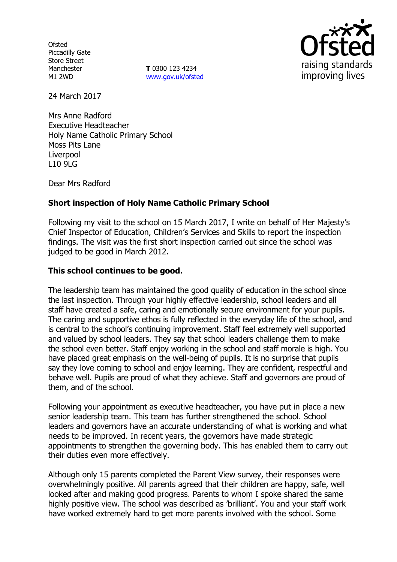**Ofsted** Piccadilly Gate Store Street Manchester M1 2WD

**T** 0300 123 4234 www.gov.uk/ofsted



24 March 2017

Mrs Anne Radford Executive Headteacher Holy Name Catholic Primary School Moss Pits Lane **Liverpool** L10 9LG

Dear Mrs Radford

## **Short inspection of Holy Name Catholic Primary School**

Following my visit to the school on 15 March 2017, I write on behalf of Her Majesty's Chief Inspector of Education, Children's Services and Skills to report the inspection findings. The visit was the first short inspection carried out since the school was judged to be good in March 2012.

### **This school continues to be good.**

The leadership team has maintained the good quality of education in the school since the last inspection. Through your highly effective leadership, school leaders and all staff have created a safe, caring and emotionally secure environment for your pupils. The caring and supportive ethos is fully reflected in the everyday life of the school, and is central to the school's continuing improvement. Staff feel extremely well supported and valued by school leaders. They say that school leaders challenge them to make the school even better. Staff enjoy working in the school and staff morale is high. You have placed great emphasis on the well-being of pupils. It is no surprise that pupils say they love coming to school and enjoy learning. They are confident, respectful and behave well. Pupils are proud of what they achieve. Staff and governors are proud of them, and of the school.

Following your appointment as executive headteacher, you have put in place a new senior leadership team. This team has further strengthened the school. School leaders and governors have an accurate understanding of what is working and what needs to be improved. In recent years, the governors have made strategic appointments to strengthen the governing body. This has enabled them to carry out their duties even more effectively.

Although only 15 parents completed the Parent View survey, their responses were overwhelmingly positive. All parents agreed that their children are happy, safe, well looked after and making good progress. Parents to whom I spoke shared the same highly positive view. The school was described as 'brilliant'. You and your staff work have worked extremely hard to get more parents involved with the school. Some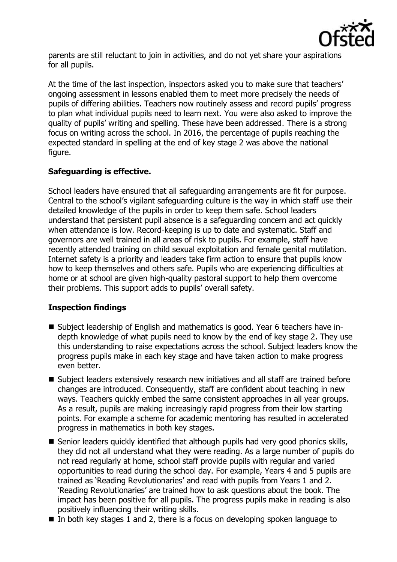

parents are still reluctant to join in activities, and do not yet share your aspirations for all pupils.

At the time of the last inspection, inspectors asked you to make sure that teachers' ongoing assessment in lessons enabled them to meet more precisely the needs of pupils of differing abilities. Teachers now routinely assess and record pupils' progress to plan what individual pupils need to learn next. You were also asked to improve the quality of pupils' writing and spelling. These have been addressed. There is a strong focus on writing across the school. In 2016, the percentage of pupils reaching the expected standard in spelling at the end of key stage 2 was above the national figure.

# **Safeguarding is effective.**

School leaders have ensured that all safeguarding arrangements are fit for purpose. Central to the school's vigilant safeguarding culture is the way in which staff use their detailed knowledge of the pupils in order to keep them safe. School leaders understand that persistent pupil absence is a safeguarding concern and act quickly when attendance is low. Record-keeping is up to date and systematic. Staff and governors are well trained in all areas of risk to pupils. For example, staff have recently attended training on child sexual exploitation and female genital mutilation. Internet safety is a priority and leaders take firm action to ensure that pupils know how to keep themselves and others safe. Pupils who are experiencing difficulties at home or at school are given high-quality pastoral support to help them overcome their problems. This support adds to pupils' overall safety.

## **Inspection findings**

- Subject leadership of English and mathematics is good. Year 6 teachers have indepth knowledge of what pupils need to know by the end of key stage 2. They use this understanding to raise expectations across the school. Subject leaders know the progress pupils make in each key stage and have taken action to make progress even better.
- Subject leaders extensively research new initiatives and all staff are trained before changes are introduced. Consequently, staff are confident about teaching in new ways. Teachers quickly embed the same consistent approaches in all year groups. As a result, pupils are making increasingly rapid progress from their low starting points. For example a scheme for academic mentoring has resulted in accelerated progress in mathematics in both key stages.
- Senior leaders quickly identified that although pupils had very good phonics skills, they did not all understand what they were reading. As a large number of pupils do not read regularly at home, school staff provide pupils with regular and varied opportunities to read during the school day. For example, Years 4 and 5 pupils are trained as 'Reading Revolutionaries' and read with pupils from Years 1 and 2. 'Reading Revolutionaries' are trained how to ask questions about the book. The impact has been positive for all pupils. The progress pupils make in reading is also positively influencing their writing skills.
- In both key stages 1 and 2, there is a focus on developing spoken language to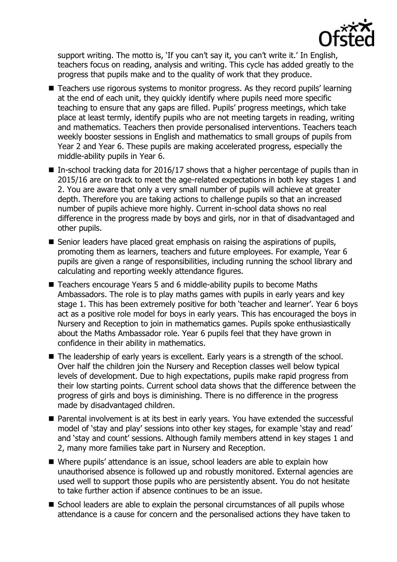

support writing. The motto is, 'If you can't say it, you can't write it.' In English, teachers focus on reading, analysis and writing. This cycle has added greatly to the progress that pupils make and to the quality of work that they produce.

- Teachers use rigorous systems to monitor progress. As they record pupils' learning at the end of each unit, they quickly identify where pupils need more specific teaching to ensure that any gaps are filled. Pupils' progress meetings, which take place at least termly, identify pupils who are not meeting targets in reading, writing and mathematics. Teachers then provide personalised interventions. Teachers teach weekly booster sessions in English and mathematics to small groups of pupils from Year 2 and Year 6. These pupils are making accelerated progress, especially the middle-ability pupils in Year 6.
- In-school tracking data for 2016/17 shows that a higher percentage of pupils than in 2015/16 are on track to meet the age-related expectations in both key stages 1 and 2. You are aware that only a very small number of pupils will achieve at greater depth. Therefore you are taking actions to challenge pupils so that an increased number of pupils achieve more highly. Current in-school data shows no real difference in the progress made by boys and girls, nor in that of disadvantaged and other pupils.
- $\blacksquare$  Senior leaders have placed great emphasis on raising the aspirations of pupils, promoting them as learners, teachers and future employees. For example, Year 6 pupils are given a range of responsibilities, including running the school library and calculating and reporting weekly attendance figures.
- Teachers encourage Years 5 and 6 middle-ability pupils to become Maths Ambassadors. The role is to play maths games with pupils in early years and key stage 1. This has been extremely positive for both 'teacher and learner'. Year 6 boys act as a positive role model for boys in early years. This has encouraged the boys in Nursery and Reception to join in mathematics games. Pupils spoke enthusiastically about the Maths Ambassador role. Year 6 pupils feel that they have grown in confidence in their ability in mathematics.
- The leadership of early years is excellent. Early years is a strength of the school. Over half the children join the Nursery and Reception classes well below typical levels of development. Due to high expectations, pupils make rapid progress from their low starting points. Current school data shows that the difference between the progress of girls and boys is diminishing. There is no difference in the progress made by disadvantaged children.
- **Parental involvement is at its best in early years. You have extended the successful** model of 'stay and play' sessions into other key stages, for example 'stay and read' and 'stay and count' sessions. Although family members attend in key stages 1 and 2, many more families take part in Nursery and Reception.
- Where pupils' attendance is an issue, school leaders are able to explain how unauthorised absence is followed up and robustly monitored. External agencies are used well to support those pupils who are persistently absent. You do not hesitate to take further action if absence continues to be an issue.
- School leaders are able to explain the personal circumstances of all pupils whose attendance is a cause for concern and the personalised actions they have taken to